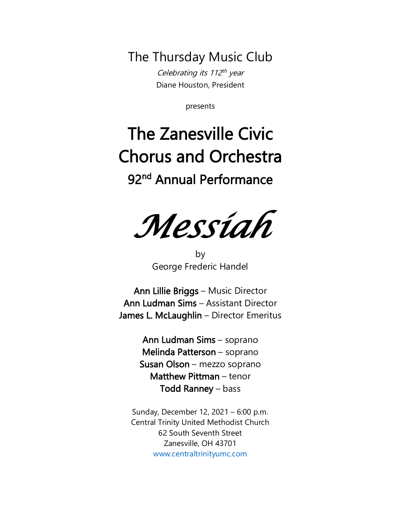The Thursday Music Club

Celebrating its 112<sup>th</sup> year Diane Houston, President

presents

# The Zanesville Civic Chorus and Orchestra

## 92<sup>nd</sup> Annual Performance

*Messiah* 

by George Frederic Handel

Ann Lillie Briggs – Music Director Ann Ludman Sims – Assistant Director James L. McLaughlin – Director Emeritus

> Ann Ludman Sims – soprano Melinda Patterson – soprano Susan Olson – mezzo soprano Matthew Pittman – tenor Todd Ranney – bass

Sunday, December 12, 2021 – 6:00 p.m. Central Trinity United Methodist Church 62 South Seventh Street Zanesville, OH 43701 [www.centraltrinityumc.com](http://www.centraltrinityumc.com/)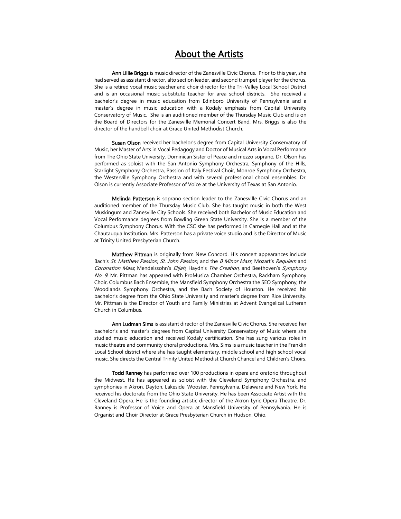### About the Artists

Ann Lillie Briggs is music director of the Zanesville Civic Chorus. Prior to this year, she had served as assistant director, alto section leader, and second trumpet player for the chorus. She is a retired vocal music teacher and choir director for the Tri-Valley Local School District and is an occasional music substitute teacher for area school districts. She received a bachelor's degree in music education from Edinboro University of Pennsylvania and a master's degree in music education with a Kodaly emphasis from Capital University Conservatory of Music. She is an auditioned member of the Thursday Music Club and is on the Board of Directors for the Zanesville Memorial Concert Band. Mrs. Briggs is also the director of the handbell choir at Grace United Methodist Church.

Susan Olson received her bachelor's degree from Capital University Conservatory of Music, her Master of Arts in Vocal Pedagogy and Doctor of Musical Arts in Vocal Performance from The Ohio State University. Dominican Sister of Peace and mezzo soprano, Dr. Olson has performed as soloist with the San Antonio Symphony Orchestra, Symphony of the Hills, Starlight Symphony Orchestra, Passion of Italy Festival Choir, Monroe Symphony Orchestra, the Westerville Symphony Orchestra and with several professional choral ensembles. Dr. Olson is currently Associate Professor of Voice at the University of Texas at San Antonio.

Melinda Patterson is soprano section leader to the Zanesville Civic Chorus and an auditioned member of the Thursday Music Club. She has taught music in both the West Muskingum and Zanesville City Schools. She received both Bachelor of Music Education and Vocal Performance degrees from Bowling Green State University. She is a member of the Columbus Symphony Chorus. With the CSC she has performed in Carnegie Hall and at the Chautauqua Institution. Mrs. Patterson has a private voice studio and is the Director of Music at Trinity United Presbyterian Church.

Matthew Pittman is originally from New Concord. His concert appearances include Bach's St. Matthew Passion, St. John Passion, and the B Minor Mass, Mozart's Requiem and Coronation Mass, Mendelssohn's Elijah, Haydn's The Creation, and Beethoven's Symphony No. 9. Mr. Pittman has appeared with ProMusica Chamber Orchestra, Rackham Symphony Choir, Columbus Bach Ensemble, the Mansfield Symphony Orchestra the SEO Symphony, the Woodlands Symphony Orchestra, and the Bach Society of Houston. He received his bachelor's degree from the Ohio State University and master's degree from Rice University. Mr. Pittman is the Director of Youth and Family Ministries at Advent Evangelical Lutheran Church in Columbus.

Ann Ludman Sims is assistant director of the Zanesville Civic Chorus. She received her bachelor's and master's degrees from Capital University Conservatory of Music where she studied music education and received Kodaly certification. She has sung various roles in music theatre and community choral productions. Mrs. Sims is a music teacher in the Franklin Local School district where she has taught elementary, middle school and high school vocal music. She directs the Central Trinity United Methodist Church Chancel and Children's Choirs.

Todd Ranney has performed over 100 productions in opera and oratorio throughout the Midwest. He has appeared as soloist with the Cleveland Symphony Orchestra, and symphonies in Akron, Dayton, Lakeside, Wooster, Pennsylvania, Delaware and New York. He received his doctorate from the Ohio State University. He has been Associate Artist with the Cleveland Opera. He is the founding artistic director of the Akron Lyric Opera Theatre. Dr. Ranney is Professor of Voice and Opera at Mansfield University of Pennsylvania. He is Organist and Choir Director at Grace Presbyterian Church in Hudson, Ohio.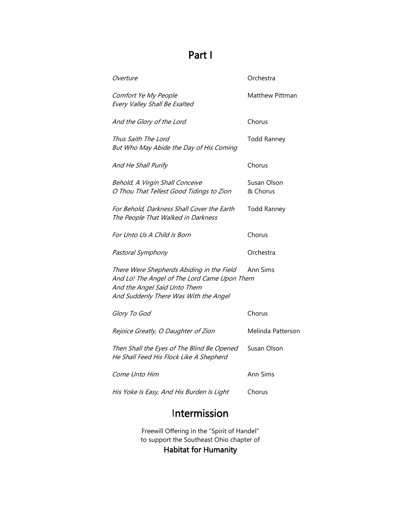## Part I

| <i>Overture</i>                                                                                                                                                    | Orchestra               |
|--------------------------------------------------------------------------------------------------------------------------------------------------------------------|-------------------------|
| Comfort Ye My People<br>Every Valley Shall Be Exalted                                                                                                              | Matthew Pittman         |
| And the Glory of the Lord                                                                                                                                          | Chorus                  |
| Thus Saith The Lord<br>But Who May Abide the Day of His Coming                                                                                                     | <b>Todd Ranney</b>      |
| And He Shall Purify                                                                                                                                                | Chorus                  |
| Behold, A Virgin Shall Conceive<br>O Thou That Tellest Good Tidings to Zion                                                                                        | Susan Olson<br>& Chorus |
| For Behold, Darkness Shall Cover the Earth<br>The People That Walked in Darkness                                                                                   | <b>Todd Ranney</b>      |
| For Unto Us A Child Is Born                                                                                                                                        | Chorus                  |
| Pastoral Symphony                                                                                                                                                  | Orchestra               |
| There Were Shepherds Abiding in the Field<br>And Lo! The Angel of The Lord Came Upon Them<br>And the Angel Said Unto Them<br>And Suddenly There Was With the Angel | Ann Sims                |
| Glory To God                                                                                                                                                       | Chorus                  |
| Rejoice Greatly, O Daughter of Zion                                                                                                                                | Melinda Patterson       |
| Then Shall the Eyes of The Blind Be Opened<br>He Shall Feed His Flock Like A Shepherd                                                                              | Susan Olson             |
| <i>Come Unto Him</i>                                                                                                                                               | Ann Sims                |
| His Yoke Is Easy, And His Burden Is Light                                                                                                                          | Chorus                  |
|                                                                                                                                                                    |                         |

## Intermission

Freewill Offering in the "Spirit of Handel" to support the Southeast Ohio chapter of Habitat for Humanity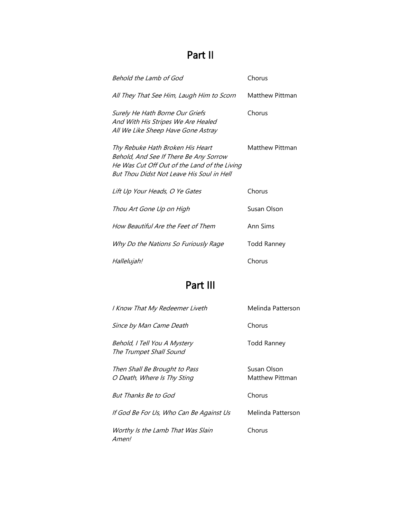## Part II

| Behold the Lamb of God                                                                                                                                                  | Chorus             |
|-------------------------------------------------------------------------------------------------------------------------------------------------------------------------|--------------------|
| All They That See Him, Laugh Him to Scorn                                                                                                                               | Matthew Pittman    |
| Surely He Hath Borne Our Griefs<br>And With His Stripes We Are Healed<br>All We Like Sheep Have Gone Astray                                                             | Chorus             |
| Thy Rebuke Hath Broken His Heart<br>Behold, And See If There Be Any Sorrow<br>He Was Cut Off Out of the Land of the Living<br>But Thou Didst Not Leave His Soul in Hell | Matthew Pittman    |
| Lift Up Your Heads, O Ye Gates                                                                                                                                          | Chorus             |
| Thou Art Gone Up on High                                                                                                                                                | Susan Olson        |
| How Beautiful Are the Feet of Them                                                                                                                                      | Ann Sims           |
| Why Do the Nations So Furiously Rage                                                                                                                                    | <b>Todd Ranney</b> |
| Hallelujah!                                                                                                                                                             | Chorus             |

## Part III

| I Know That My Redeemer Liveth                               | Melinda Patterson              |
|--------------------------------------------------------------|--------------------------------|
| Since by Man Came Death                                      | Chorus                         |
| Behold, I Tell You A Mystery<br>The Trumpet Shall Sound      | Todd Ranney                    |
| Then Shall Be Brought to Pass<br>O Death, Where Is Thy Sting | Susan Olson<br>Matthew Pittman |
| But Thanks Be to God                                         | Chorus                         |
| If God Be For Us, Who Can Be Against Us                      | Melinda Patterson              |
| Worthy Is the Lamb That Was Slain<br>Amen!                   | Chorus                         |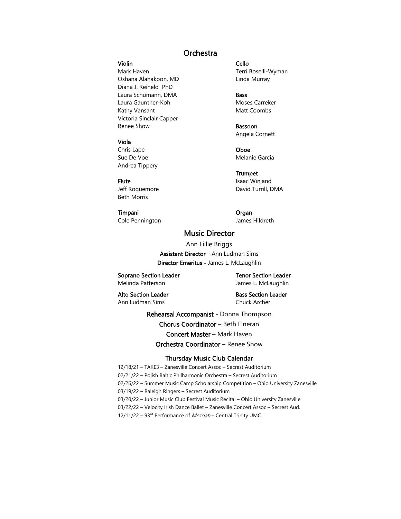### **Orchestra**

### Violin Cello

Mark Haven Mark Haven Museum Controller and Terri Boselli-Wyman Oshana Alahakoon, MD Linda Murray Diana J. Reiheld PhD Laura Schumann, DMA Bass Laura Gauntner-Koh Moses Carreker Kathy Vansant Matt Coombs Victoria Sinclair Capper Renee Show **Bassoon** 

#### Viola

Chris Lape **Oboe** Sue De Voe **Melanie** Garcia Andrea Tippery

Beth Morris

#### Timpani Organ

Cole Pennington and Tames Hildreth

Angela Cornett

**Trumpet** Flute Isaac Winland Jeff Roquemore **David Turrill**, DMA

### Music Director

Ann Lillie Briggs Assistant Director – Ann Ludman Sims Director Emeritus - James L. McLaughlin

Soprano Section Leader Tenor Section Leader Melinda Patterson **Melinda Patterson** James L. McLaughlin

Ann Ludman Sims Chuck Archer

Alto Section Leader **Bass Section Leader** 

Rehearsal Accompanist - Donna Thompson

Chorus Coordinator – Beth Fineran

Concert Master – Mark Haven

Orchestra Coordinator – Renee Show

#### Thursday Music Club Calendar

12/18/21 – TAKE3 – Zanesville Concert Assoc – Secrest Auditorium 02/21/22 – Polish Baltic Philharmonic Orchestra – Secrest Auditorium 02/26/22 – Summer Music Camp Scholarship Competition – Ohio University Zanesville 03/19/22 – Raleigh Ringers – Secrest Auditorium 03/20/22 – Junior Music Club Festival Music Recital – Ohio University Zanesville 03/22/22 – Velocity Irish Dance Ballet – Zanesville Concert Assoc – Secrest Aud. 12/11/22 - 93rd Performance of Messiah - Central Trinity UMC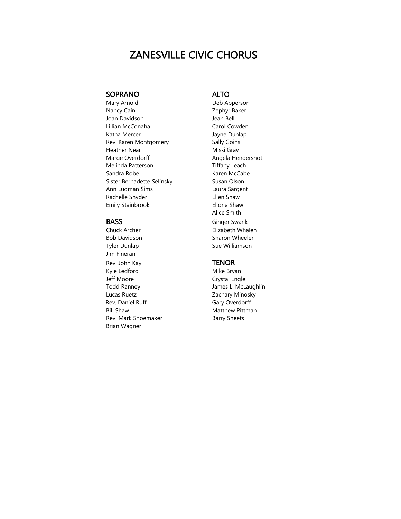## ZANESVILLE CIVIC CHORUS

### SOPRANO ALTO

Mary Arnold **Deb Apperson** Nancy Cain **Nancy Cain Zephyr Baker** Joan Davidson **Jean Bell** Lillian McConaha Carol Cowden Katha Mercer **Internal Studies** Jayne Dunlap Rev. Karen Montgomery Sally Goins Heather Near **Missi Gray** Marge Overdorff **Angela Hendershot** Angela Hendershot Melinda Patterson Tiffany Leach Sandra Robe **Karen McCabe** Sister Bernadette Selinsky<br>
Susan Olson Ann Ludman Sims Laura Sargent Rachelle Snyder **Ellen** Shaw Emily Stainbrook **Elloria** Shaw

Bob Davidson Sharon Wheeler Tyler Dunlap Sue Williamson Jim Fineran Rev. John Kay **TENOR** Kyle Ledford Mike Bryan Jeff Moore **Crystal Engle** Todd Ranney James L. McLaughlin Lucas Ruetz **Zachary Minosky** Rev. Daniel Ruff Gary Overdorff Bill Shaw Matthew Pittman Rev. Mark Shoemaker Barry Sheets Brian Wagner

 Alice Smith BASS Ginger Swank Chuck Archer **Elizabeth Whalen**